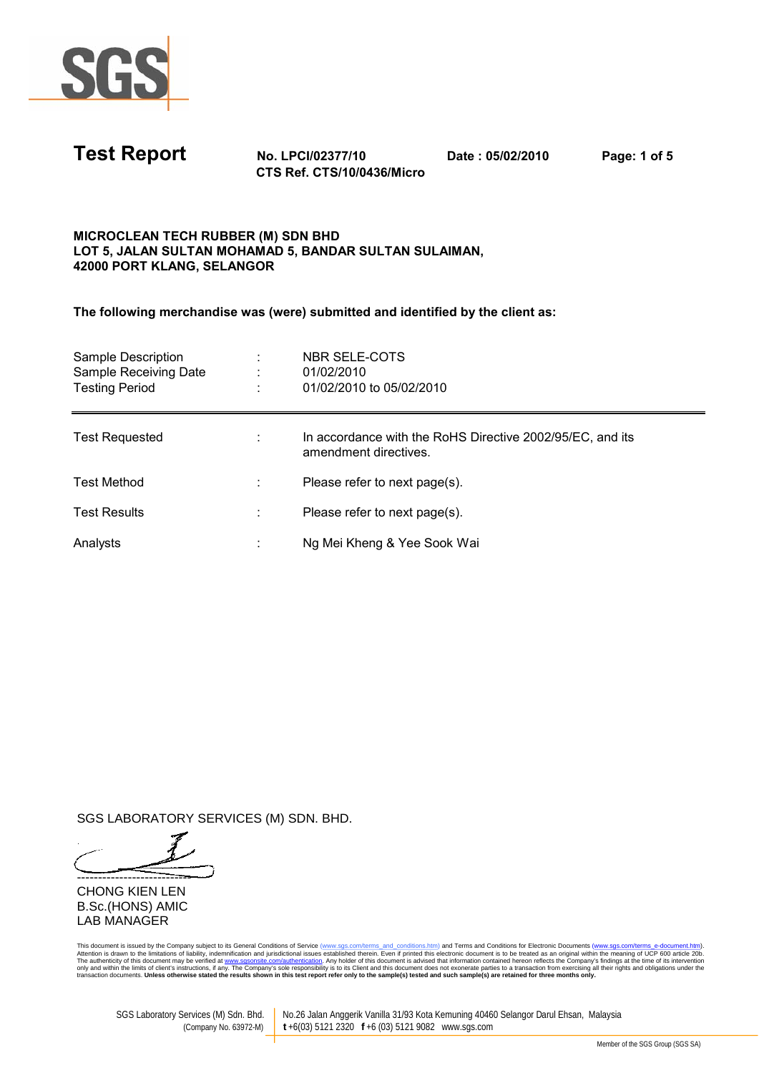

| <b>Test Report</b> | <b>No. LPCI/02377/10</b> | Date: 05/02/2010 | Page: 1 of 5 |
|--------------------|--------------------------|------------------|--------------|
|                    | ---- - - ----            |                  |              |

CTS Ref. CTS/10/0436/Micro

## MICROCLEAN TECH RUBBER (M) SDN BHD LOT 5, JALAN SULTAN MOHAMAD 5, BANDAR SULTAN SULAIMAN, 42000 PORT KLANG, SELANGOR

The following merchandise was (were) submitted and identified by the client as:

| Sample Description<br>Sample Receiving Date<br><b>Testing Period</b> | NBR SELE-COTS<br>01/02/2010<br>01/02/2010 to 05/02/2010                            |
|----------------------------------------------------------------------|------------------------------------------------------------------------------------|
| <b>Test Requested</b>                                                | In accordance with the RoHS Directive 2002/95/EC, and its<br>amendment directives. |
| <b>Test Method</b>                                                   | Please refer to next page(s).                                                      |
| <b>Test Results</b>                                                  | Please refer to next page(s).                                                      |
| Analysts                                                             | Ng Mei Kheng & Yee Sook Wai                                                        |

SGS LABORATORY SERVICES (M) SDN. BHD.

--------------------------- CHONG KIEN LEN B.Sc.(HONS) AMIC LAB MANAGER

This document is issued by the Company subject to its General Conditions of Service (www.sgs.com/terms\_and\_conditions.htm) and Terms and Conditions for Electronic Documents (www.sgs.com/terms\_e-document.htm).<br>Altention is

SGS Laboratory Services (M) Sdn. Bhd. No.26 Jalan Anggerik Vanilla 31/93 Kota Kemuning 40460 Selangor Darul Ehsan, Malaysia<br>(Company No.63972-M) t +6(03) 5121 2320 f +6 (03) 5121 9082 www.sqs.com (Company No. 63972-M) **t** +6(03) 5121 2320 **f** +6 (03) 5121 9082 www.sgs.com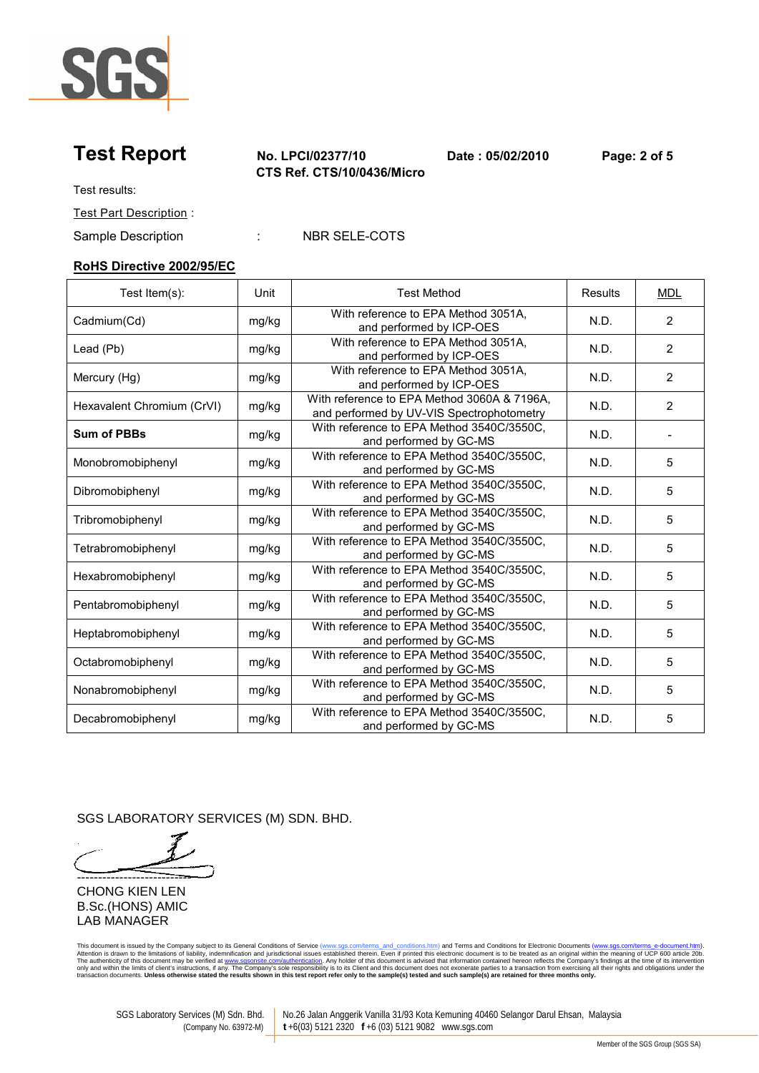

Test Report No. LPCI/02377/10 Date : 05/02/2010 Page: 2 of 5 CTS Ref. CTS/10/0436/Micro

Test results:

Test Part Description :

Sample Description : NBR SELE-COTS

### RoHS Directive 2002/95/EC

| Test Item(s):              | Unit  | <b>Test Method</b>                                                                       | Results | <b>MDL</b>     |
|----------------------------|-------|------------------------------------------------------------------------------------------|---------|----------------|
| Cadmium(Cd)                | mg/kg | With reference to EPA Method 3051A.<br>and performed by ICP-OES                          | N.D.    | 2              |
| Lead (Pb)                  | mg/kg | With reference to EPA Method 3051A,<br>and performed by ICP-OES                          | N.D.    | $\overline{2}$ |
| Mercury (Hg)               | mg/kg | With reference to EPA Method 3051A.<br>and performed by ICP-OES                          | N.D.    | $\overline{2}$ |
| Hexavalent Chromium (CrVI) | mg/kg | With reference to EPA Method 3060A & 7196A,<br>and performed by UV-VIS Spectrophotometry | N.D.    | 2              |
| <b>Sum of PBBs</b>         | mg/kg | With reference to EPA Method 3540C/3550C,<br>and performed by GC-MS                      | N.D.    |                |
| Monobromobiphenyl          | mg/kg | With reference to EPA Method 3540C/3550C,<br>and performed by GC-MS                      | N.D.    | 5              |
| Dibromobiphenyl            | mg/kg | With reference to EPA Method 3540C/3550C,<br>and performed by GC-MS                      | N.D.    | 5              |
| Tribromobiphenyl           | mg/kg | With reference to EPA Method 3540C/3550C,<br>and performed by GC-MS                      | N.D.    | 5              |
| Tetrabromobiphenyl         | mg/kg | With reference to EPA Method 3540C/3550C,<br>and performed by GC-MS                      | N.D.    | 5              |
| Hexabromobiphenyl          | mg/kg | With reference to EPA Method 3540C/3550C,<br>and performed by GC-MS                      | N.D.    | 5              |
| Pentabromobiphenyl         | mg/kg | With reference to EPA Method 3540C/3550C,<br>and performed by GC-MS                      | N.D.    | 5              |
| Heptabromobiphenyl         | mg/kg | With reference to EPA Method 3540C/3550C,<br>and performed by GC-MS                      | N.D.    | 5              |
| Octabromobiphenyl          | mg/kg | With reference to EPA Method 3540C/3550C,<br>and performed by GC-MS                      | N.D.    | 5              |
| Nonabromobiphenyl          | mg/kg | With reference to EPA Method 3540C/3550C,<br>and performed by GC-MS                      | N.D.    | 5              |
| Decabromobiphenyl          | mg/kg | With reference to EPA Method 3540C/3550C,<br>and performed by GC-MS                      | N.D.    | 5              |

SGS LABORATORY SERVICES (M) SDN. BHD.

---------------------------

CHONG KIEN LEN B.Sc.(HONS) AMIC LAB MANAGER

This document is issued by the Company subject to its General Conditions of Service (www.sgs.com/terms\_and\_conditions.htm) and Terms and Conditions for Electronic Documents (www.sgs.com/terms\_e-document.htm).<br>Altention is

SGS Laboratory Services (M) Sdn. Bhd. No.26 Jalan Anggerik Vanilla 31/93 Kota Kemuning 40460 Selangor Darul Ehsan, Malaysia<br>(Company No. 63972-M) t +6(03) 5121 2320 f +6 (03) 5121 9082 www.sgs.com (Company No. 63972-M) **t** +6(03) 5121 2320 **f** +6 (03) 5121 9082 www.sgs.com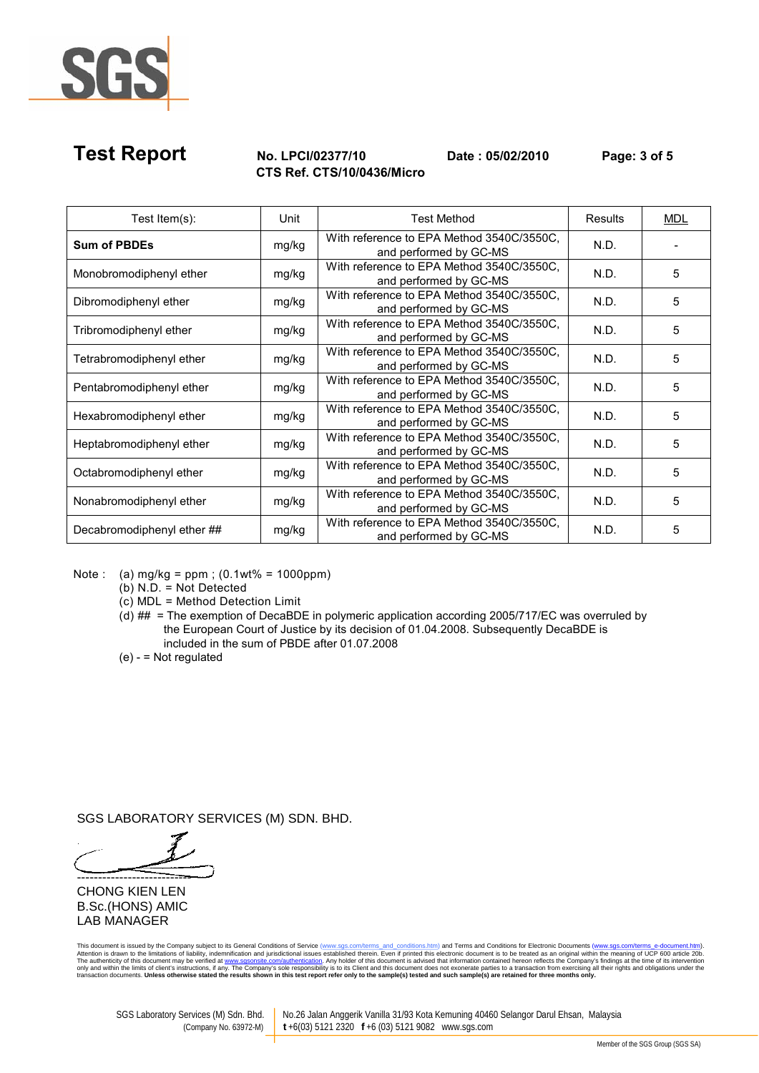

# Test Report No. LPCI/02377/10 Date : 05/02/2010 Page: 3 of 5 CTS Ref. CTS/10/0436/Micro

| Test Item(s):              | Unit  | <b>Test Method</b>                                                  | <b>Results</b> | MDL |
|----------------------------|-------|---------------------------------------------------------------------|----------------|-----|
| <b>Sum of PBDEs</b>        | mg/kg | With reference to EPA Method 3540C/3550C.<br>and performed by GC-MS | N.D.           |     |
| Monobromodiphenyl ether    | mg/kg | With reference to EPA Method 3540C/3550C,<br>and performed by GC-MS | N.D.           | 5   |
| Dibromodiphenyl ether      | mg/kg | With reference to EPA Method 3540C/3550C,<br>and performed by GC-MS | N.D.           | 5   |
| Tribromodiphenyl ether     | mg/kg | With reference to EPA Method 3540C/3550C.<br>and performed by GC-MS | N.D.           | 5   |
| Tetrabromodiphenyl ether   | mg/kg | With reference to EPA Method 3540C/3550C,<br>and performed by GC-MS | N.D.           | 5   |
| Pentabromodiphenyl ether   | mg/kg | With reference to EPA Method 3540C/3550C,<br>and performed by GC-MS | N.D.           | 5   |
| Hexabromodiphenyl ether    | mg/kg | With reference to EPA Method 3540C/3550C,<br>and performed by GC-MS | N.D.           | 5   |
| Heptabromodiphenyl ether   | mg/kg | With reference to EPA Method 3540C/3550C.<br>and performed by GC-MS | N.D.           | 5   |
| Octabromodiphenyl ether    | mg/kg | With reference to EPA Method 3540C/3550C.<br>and performed by GC-MS | N.D.           | 5   |
| Nonabromodiphenyl ether    | mg/kg | With reference to EPA Method 3540C/3550C,<br>and performed by GC-MS | N.D.           | 5   |
| Decabromodiphenyl ether ## | mg/kg | With reference to EPA Method 3540C/3550C,<br>and performed by GC-MS | N.D.           | 5   |

Note : (a) mg/kg = ppm ; (0.1wt% = 1000ppm)

(b) N.D. = Not Detected

(c) MDL = Method Detection Limit

(d) ## = The exemption of DecaBDE in polymeric application according 2005/717/EC was overruled by the European Court of Justice by its decision of 01.04.2008. Subsequently DecaBDE is included in the sum of PBDE after 01.07.2008

(e) - = Not regulated

SGS LABORATORY SERVICES (M) SDN. BHD.

---------------------------

CHONG KIEN LEN B.Sc.(HONS) AMIC LAB MANAGER

This document is issued by the Company subject to its General Conditions of Service (www.sgs.com/terms\_and\_conditions.htm) and Terms and Conditions for Electronic Documents (www.sgs.com/terms\_e-document.htm).<br>Altention is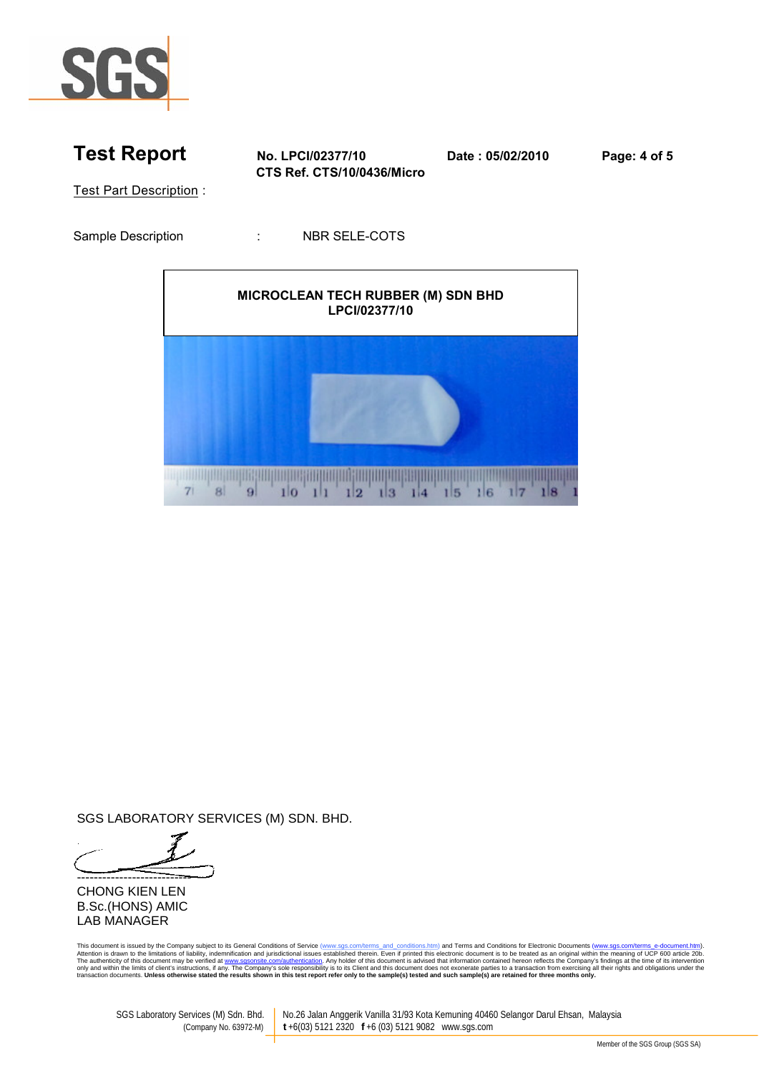



SGS LABORATORY SERVICES (M) SDN. BHD.

--------------------------- CHONG KIEN LEN B.Sc.(HONS) AMIC LAB MANAGER

This document is issued by the Company subject to its General Conditions of Service (www.sgs.com/terms\_and\_conditions.htm) and Terms and Conditions for Electronic Documents (www.sgs.com/terms\_e-document.htm).<br>Altention is

SGS Laboratory Services (M) Sdn. Bhd. No.26 Jalan Anggerik Vanilla 31/93 Kota Kemuning 40460 Selangor Darul Ehsan, Malaysia<br>(Company No.63972-M) t +6(03) 5121 2320 f +6 (03) 5121 9082 www.sqs.com (Company No. 63972-M) **t** +6(03) 5121 2320 **f** +6 (03) 5121 9082 www.sgs.com